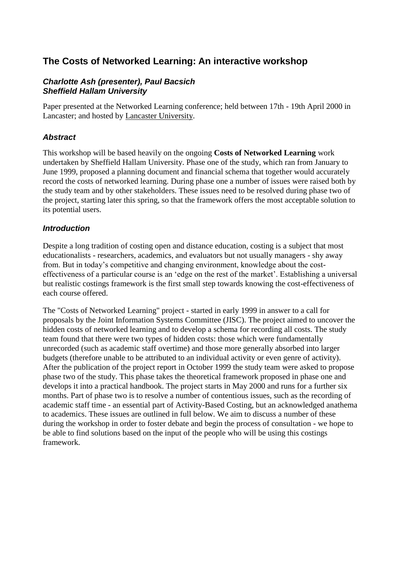# **The Costs of Networked Learning: An interactive workshop**

#### *Charlotte Ash (presenter), Paul Bacsich Sheffield Hallam University*

Paper presented at the Networked Learning conference; held between 17th - 19th April 2000 in Lancaster; and hosted by [Lancaster University.](http://www.lancs.ac.uk/)

#### *Abstract*

This workshop will be based heavily on the ongoing **Costs of Networked Learning** work undertaken by Sheffield Hallam University. Phase one of the study, which ran from January to June 1999, proposed a planning document and financial schema that together would accurately record the costs of networked learning. During phase one a number of issues were raised both by the study team and by other stakeholders. These issues need to be resolved during phase two of the project, starting later this spring, so that the framework offers the most acceptable solution to its potential users.

#### *Introduction*

Despite a long tradition of costing open and distance education, costing is a subject that most educationalists - researchers, academics, and evaluators but not usually managers - shy away from. But in today's competitive and changing environment, knowledge about the costeffectiveness of a particular course is an 'edge on the rest of the market'. Establishing a universal but realistic costings framework is the first small step towards knowing the cost-effectiveness of each course offered.

The "Costs of Networked Learning" project - started in early 1999 in answer to a call for proposals by the Joint Information Systems Committee (JISC). The project aimed to uncover the hidden costs of networked learning and to develop a schema for recording all costs. The study team found that there were two types of hidden costs: those which were fundamentally unrecorded (such as academic staff overtime) and those more generally absorbed into larger budgets (therefore unable to be attributed to an individual activity or even genre of activity). After the publication of the project report in October 1999 the study team were asked to propose phase two of the study. This phase takes the theoretical framework proposed in phase one and develops it into a practical handbook. The project starts in May 2000 and runs for a further six months. Part of phase two is to resolve a number of contentious issues, such as the recording of academic staff time - an essential part of Activity-Based Costing, but an acknowledged anathema to academics. These issues are outlined in full below. We aim to discuss a number of these during the workshop in order to foster debate and begin the process of consultation - we hope to be able to find solutions based on the input of the people who will be using this costings framework.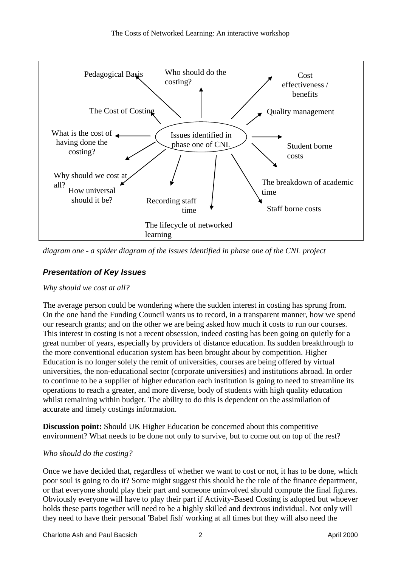

*diagram one - a spider diagram of the issues identified in phase one of the CNL project*

# *Presentation of Key Issues*

#### *Why should we cost at all?*

The average person could be wondering where the sudden interest in costing has sprung from. On the one hand the Funding Council wants us to record, in a transparent manner, how we spend our research grants; and on the other we are being asked how much it costs to run our courses. This interest in costing is not a recent obsession, indeed costing has been going on quietly for a great number of years, especially by providers of distance education. Its sudden breakthrough to the more conventional education system has been brought about by competition. Higher Education is no longer solely the remit of universities, courses are being offered by virtual universities, the non-educational sector (corporate universities) and institutions abroad. In order to continue to be a supplier of higher education each institution is going to need to streamline its operations to reach a greater, and more diverse, body of students with high quality education whilst remaining within budget. The ability to do this is dependent on the assimilation of accurate and timely costings information.

**Discussion point:** Should UK Higher Education be concerned about this competitive environment? What needs to be done not only to survive, but to come out on top of the rest?

#### *Who should do the costing?*

Once we have decided that, regardless of whether we want to cost or not, it has to be done, which poor soul is going to do it? Some might suggest this should be the role of the finance department, or that everyone should play their part and someone uninvolved should compute the final figures. Obviously everyone will have to play their part if Activity-Based Costing is adopted but whoever holds these parts together will need to be a highly skilled and dextrous individual. Not only will they need to have their personal 'Babel fish' working at all times but they will also need the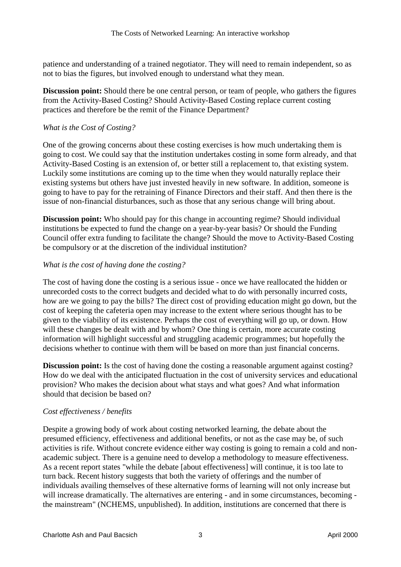patience and understanding of a trained negotiator. They will need to remain independent, so as not to bias the figures, but involved enough to understand what they mean.

**Discussion point:** Should there be one central person, or team of people, who gathers the figures from the Activity-Based Costing? Should Activity-Based Costing replace current costing practices and therefore be the remit of the Finance Department?

#### *What is the Cost of Costing?*

One of the growing concerns about these costing exercises is how much undertaking them is going to cost. We could say that the institution undertakes costing in some form already, and that Activity-Based Costing is an extension of, or better still a replacement to, that existing system. Luckily some institutions are coming up to the time when they would naturally replace their existing systems but others have just invested heavily in new software. In addition, someone is going to have to pay for the retraining of Finance Directors and their staff. And then there is the issue of non-financial disturbances, such as those that any serious change will bring about.

**Discussion point:** Who should pay for this change in accounting regime? Should individual institutions be expected to fund the change on a year-by-year basis? Or should the Funding Council offer extra funding to facilitate the change? Should the move to Activity-Based Costing be compulsory or at the discretion of the individual institution?

#### *What is the cost of having done the costing?*

The cost of having done the costing is a serious issue - once we have reallocated the hidden or unrecorded costs to the correct budgets and decided what to do with personally incurred costs, how are we going to pay the bills? The direct cost of providing education might go down, but the cost of keeping the cafeteria open may increase to the extent where serious thought has to be given to the viability of its existence. Perhaps the cost of everything will go up, or down. How will these changes be dealt with and by whom? One thing is certain, more accurate costing information will highlight successful and struggling academic programmes; but hopefully the decisions whether to continue with them will be based on more than just financial concerns.

**Discussion point:** Is the cost of having done the costing a reasonable argument against costing? How do we deal with the anticipated fluctuation in the cost of university services and educational provision? Who makes the decision about what stays and what goes? And what information should that decision be based on?

## *Cost effectiveness / benefits*

Despite a growing body of work about costing networked learning, the debate about the presumed efficiency, effectiveness and additional benefits, or not as the case may be, of such activities is rife. Without concrete evidence either way costing is going to remain a cold and nonacademic subject. There is a genuine need to develop a methodology to measure effectiveness. As a recent report states "while the debate [about effectiveness] will continue, it is too late to turn back. Recent history suggests that both the variety of offerings and the number of individuals availing themselves of these alternative forms of learning will not only increase but will increase dramatically. The alternatives are entering - and in some circumstances, becoming the mainstream" (NCHEMS, unpublished). In addition, institutions are concerned that there is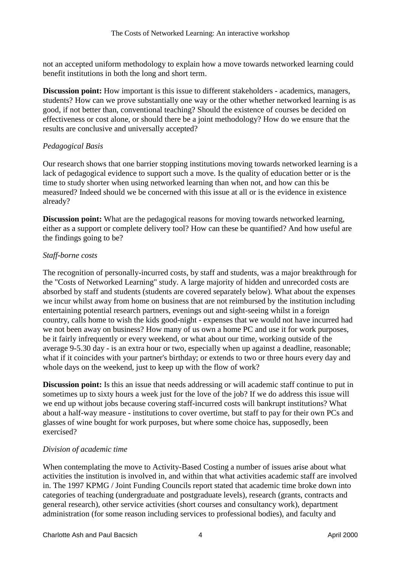not an accepted uniform methodology to explain how a move towards networked learning could benefit institutions in both the long and short term.

**Discussion point:** How important is this issue to different stakeholders - academics, managers, students? How can we prove substantially one way or the other whether networked learning is as good, if not better than, conventional teaching? Should the existence of courses be decided on effectiveness or cost alone, or should there be a joint methodology? How do we ensure that the results are conclusive and universally accepted?

#### *Pedagogical Basis*

Our research shows that one barrier stopping institutions moving towards networked learning is a lack of pedagogical evidence to support such a move. Is the quality of education better or is the time to study shorter when using networked learning than when not, and how can this be measured? Indeed should we be concerned with this issue at all or is the evidence in existence already?

**Discussion point:** What are the pedagogical reasons for moving towards networked learning, either as a support or complete delivery tool? How can these be quantified? And how useful are the findings going to be?

#### *Staff-borne costs*

The recognition of personally-incurred costs, by staff and students, was a major breakthrough for the "Costs of Networked Learning" study. A large majority of hidden and unrecorded costs are absorbed by staff and students (students are covered separately below). What about the expenses we incur whilst away from home on business that are not reimbursed by the institution including entertaining potential research partners, evenings out and sight-seeing whilst in a foreign country, calls home to wish the kids good-night - expenses that we would not have incurred had we not been away on business? How many of us own a home PC and use it for work purposes, be it fairly infrequently or every weekend, or what about our time, working outside of the average 9-5.30 day - is an extra hour or two, especially when up against a deadline, reasonable; what if it coincides with your partner's birthday; or extends to two or three hours every day and whole days on the weekend, just to keep up with the flow of work?

**Discussion point:** Is this an issue that needs addressing or will academic staff continue to put in sometimes up to sixty hours a week just for the love of the job? If we do address this issue will we end up without jobs because covering staff-incurred costs will bankrupt institutions? What about a half-way measure - institutions to cover overtime, but staff to pay for their own PCs and glasses of wine bought for work purposes, but where some choice has, supposedly, been exercised?

#### *Division of academic time*

When contemplating the move to Activity-Based Costing a number of issues arise about what activities the institution is involved in, and within that what activities academic staff are involved in. The 1997 KPMG / Joint Funding Councils report stated that academic time broke down into categories of teaching (undergraduate and postgraduate levels), research (grants, contracts and general research), other service activities (short courses and consultancy work), department administration (for some reason including services to professional bodies), and faculty and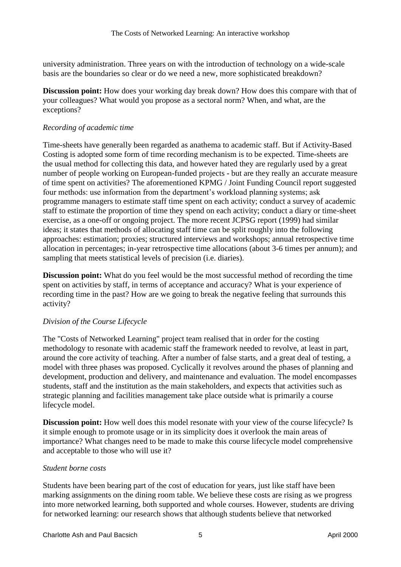university administration. Three years on with the introduction of technology on a wide-scale basis are the boundaries so clear or do we need a new, more sophisticated breakdown?

**Discussion point:** How does your working day break down? How does this compare with that of your colleagues? What would you propose as a sectoral norm? When, and what, are the exceptions?

#### *Recording of academic time*

Time-sheets have generally been regarded as anathema to academic staff. But if Activity-Based Costing is adopted some form of time recording mechanism is to be expected. Time-sheets are the usual method for collecting this data, and however hated they are regularly used by a great number of people working on European-funded projects - but are they really an accurate measure of time spent on activities? The aforementioned KPMG / Joint Funding Council report suggested four methods: use information from the department's workload planning systems; ask programme managers to estimate staff time spent on each activity; conduct a survey of academic staff to estimate the proportion of time they spend on each activity; conduct a diary or time-sheet exercise, as a one-off or ongoing project. The more recent JCPSG report (1999) had similar ideas; it states that methods of allocating staff time can be split roughly into the following approaches: estimation; proxies; structured interviews and workshops; annual retrospective time allocation in percentages; in-year retrospective time allocations (about 3-6 times per annum); and sampling that meets statistical levels of precision (i.e. diaries).

**Discussion point:** What do you feel would be the most successful method of recording the time spent on activities by staff, in terms of acceptance and accuracy? What is your experience of recording time in the past? How are we going to break the negative feeling that surrounds this activity?

## *Division of the Course Lifecycle*

The "Costs of Networked Learning" project team realised that in order for the costing methodology to resonate with academic staff the framework needed to revolve, at least in part, around the core activity of teaching. After a number of false starts, and a great deal of testing, a model with three phases was proposed. Cyclically it revolves around the phases of planning and development, production and delivery, and maintenance and evaluation. The model encompasses students, staff and the institution as the main stakeholders, and expects that activities such as strategic planning and facilities management take place outside what is primarily a course lifecycle model.

**Discussion point:** How well does this model resonate with your view of the course lifecycle? Is it simple enough to promote usage or in its simplicity does it overlook the main areas of importance? What changes need to be made to make this course lifecycle model comprehensive and acceptable to those who will use it?

#### *Student borne costs*

Students have been bearing part of the cost of education for years, just like staff have been marking assignments on the dining room table. We believe these costs are rising as we progress into more networked learning, both supported and whole courses. However, students are driving for networked learning: our research shows that although students believe that networked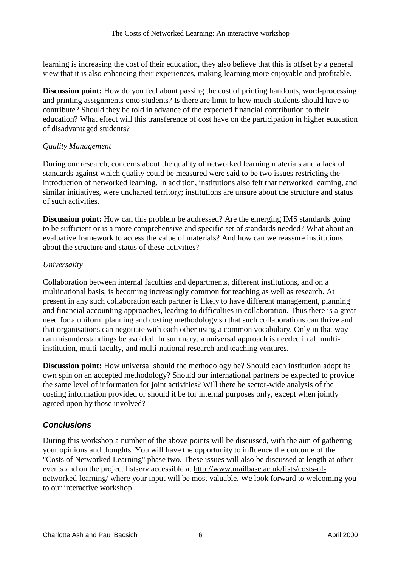learning is increasing the cost of their education, they also believe that this is offset by a general view that it is also enhancing their experiences, making learning more enjoyable and profitable.

**Discussion point:** How do you feel about passing the cost of printing handouts, word-processing and printing assignments onto students? Is there are limit to how much students should have to contribute? Should they be told in advance of the expected financial contribution to their education? What effect will this transference of cost have on the participation in higher education of disadvantaged students?

#### *Quality Management*

During our research, concerns about the quality of networked learning materials and a lack of standards against which quality could be measured were said to be two issues restricting the introduction of networked learning. In addition, institutions also felt that networked learning, and similar initiatives, were uncharted territory; institutions are unsure about the structure and status of such activities.

**Discussion point:** How can this problem be addressed? Are the emerging IMS standards going to be sufficient or is a more comprehensive and specific set of standards needed? What about an evaluative framework to access the value of materials? And how can we reassure institutions about the structure and status of these activities?

## *Universality*

Collaboration between internal faculties and departments, different institutions, and on a multinational basis, is becoming increasingly common for teaching as well as research. At present in any such collaboration each partner is likely to have different management, planning and financial accounting approaches, leading to difficulties in collaboration. Thus there is a great need for a uniform planning and costing methodology so that such collaborations can thrive and that organisations can negotiate with each other using a common vocabulary. Only in that way can misunderstandings be avoided. In summary, a universal approach is needed in all multiinstitution, multi-faculty, and multi-national research and teaching ventures.

**Discussion point:** How universal should the methodology be? Should each institution adopt its own spin on an accepted methodology? Should our international partners be expected to provide the same level of information for joint activities? Will there be sector-wide analysis of the costing information provided or should it be for internal purposes only, except when jointly agreed upon by those involved?

# *Conclusions*

During this workshop a number of the above points will be discussed, with the aim of gathering your opinions and thoughts. You will have the opportunity to influence the outcome of the "Costs of Networked Learning" phase two. These issues will also be discussed at length at other events and on the project listserv accessible at [http://www.mailbase.ac.uk/lists/costs-of](http://www.mailbase.ac.uk/lists/costs-of-networked-learning/)[networked-learning/](http://www.mailbase.ac.uk/lists/costs-of-networked-learning/) where your input will be most valuable. We look forward to welcoming you to our interactive workshop.